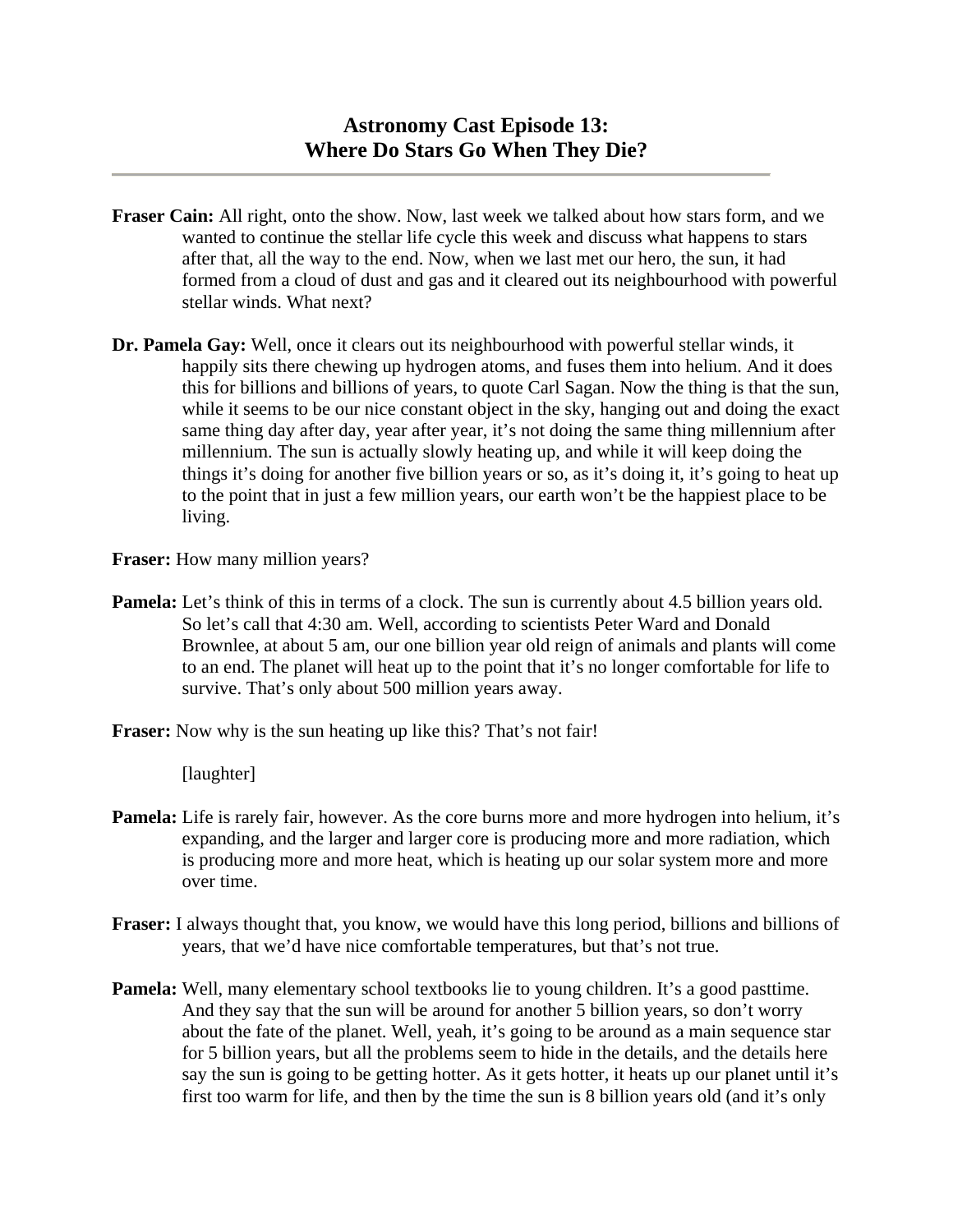- **Fraser Cain:** All right, onto the show. Now, last week we talked about how stars form, and we wanted to continue the stellar life cycle this week and discuss what happens to stars after that, all the way to the end. Now, when we last met our hero, the sun, it had formed from a cloud of dust and gas and it cleared out its neighbourhood with powerful stellar winds. What next?
- **Dr. Pamela Gay:** Well, once it clears out its neighbourhood with powerful stellar winds, it happily sits there chewing up hydrogen atoms, and fuses them into helium. And it does this for billions and billions of years, to quote Carl Sagan. Now the thing is that the sun, while it seems to be our nice constant object in the sky, hanging out and doing the exact same thing day after day, year after year, it's not doing the same thing millennium after millennium. The sun is actually slowly heating up, and while it will keep doing the things it's doing for another five billion years or so, as it's doing it, it's going to heat up to the point that in just a few million years, our earth won't be the happiest place to be living.

**Fraser:** How many million years?

- **Pamela:** Let's think of this in terms of a clock. The sun is currently about 4.5 billion years old. So let's call that 4:30 am. Well, according to scientists Peter Ward and Donald Brownlee, at about 5 am, our one billion year old reign of animals and plants will come to an end. The planet will heat up to the point that it's no longer comfortable for life to survive. That's only about 500 million years away.
- **Fraser:** Now why is the sun heating up like this? That's not fair!

[laughter]

- **Pamela:** Life is rarely fair, however. As the core burns more and more hydrogen into helium, it's expanding, and the larger and larger core is producing more and more radiation, which is producing more and more heat, which is heating up our solar system more and more over time.
- **Fraser:** I always thought that, you know, we would have this long period, billions and billions of years, that we'd have nice comfortable temperatures, but that's not true.
- **Pamela:** Well, many elementary school textbooks lie to young children. It's a good pasttime. And they say that the sun will be around for another 5 billion years, so don't worry about the fate of the planet. Well, yeah, it's going to be around as a main sequence star for 5 billion years, but all the problems seem to hide in the details, and the details here say the sun is going to be getting hotter. As it gets hotter, it heats up our planet until it's first too warm for life, and then by the time the sun is 8 billion years old (and it's only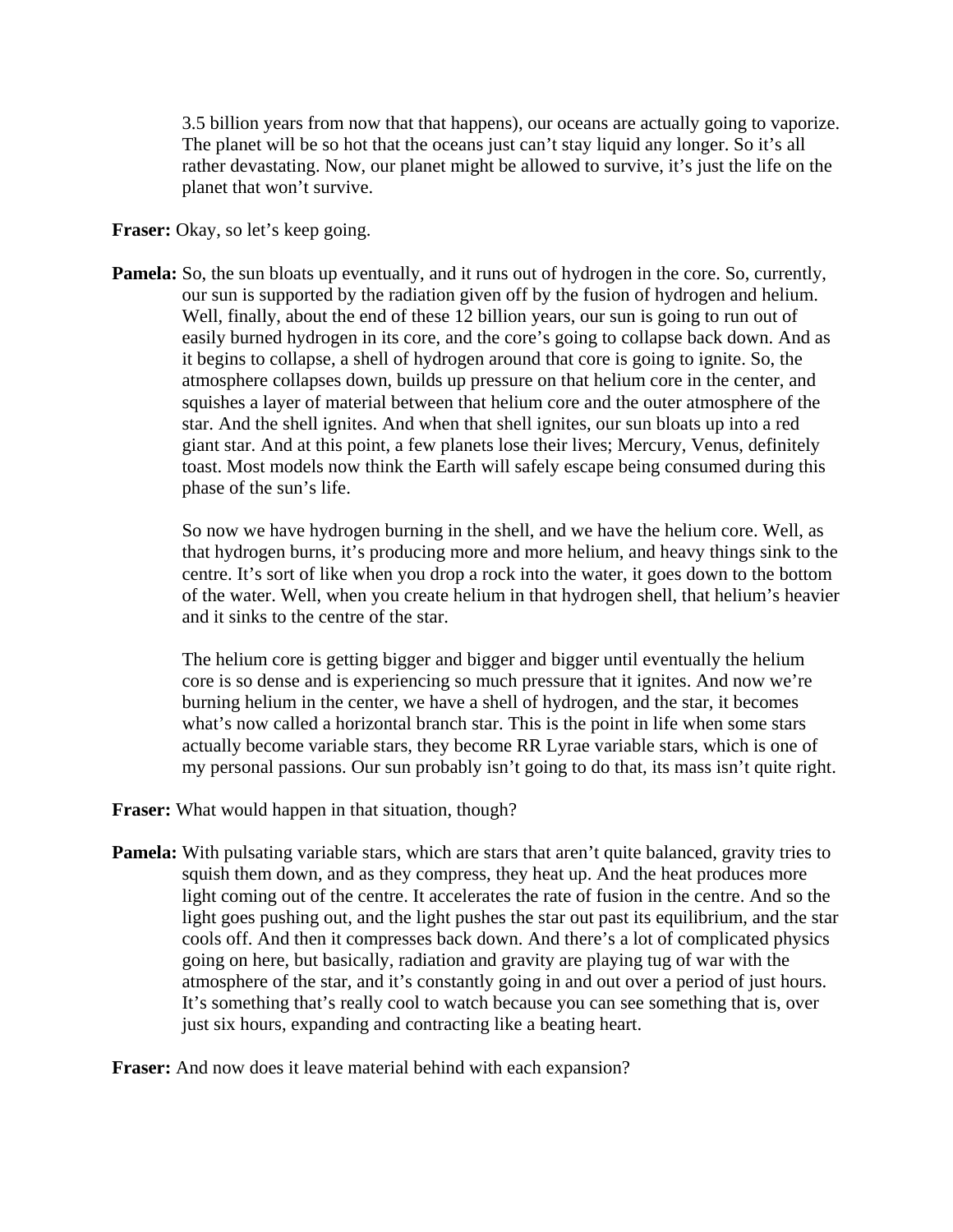3.5 billion years from now that that happens), our oceans are actually going to vaporize. The planet will be so hot that the oceans just can't stay liquid any longer. So it's all rather devastating. Now, our planet might be allowed to survive, it's just the life on the planet that won't survive.

**Fraser:** Okay, so let's keep going.

**Pamela:** So, the sun bloats up eventually, and it runs out of hydrogen in the core. So, currently, our sun is supported by the radiation given off by the fusion of hydrogen and helium. Well, finally, about the end of these 12 billion years, our sun is going to run out of easily burned hydrogen in its core, and the core's going to collapse back down. And as it begins to collapse, a shell of hydrogen around that core is going to ignite. So, the atmosphere collapses down, builds up pressure on that helium core in the center, and squishes a layer of material between that helium core and the outer atmosphere of the star. And the shell ignites. And when that shell ignites, our sun bloats up into a red giant star. And at this point, a few planets lose their lives; Mercury, Venus, definitely toast. Most models now think the Earth will safely escape being consumed during this phase of the sun's life.

 So now we have hydrogen burning in the shell, and we have the helium core. Well, as that hydrogen burns, it's producing more and more helium, and heavy things sink to the centre. It's sort of like when you drop a rock into the water, it goes down to the bottom of the water. Well, when you create helium in that hydrogen shell, that helium's heavier and it sinks to the centre of the star.

 The helium core is getting bigger and bigger and bigger until eventually the helium core is so dense and is experiencing so much pressure that it ignites. And now we're burning helium in the center, we have a shell of hydrogen, and the star, it becomes what's now called a horizontal branch star. This is the point in life when some stars actually become variable stars, they become RR Lyrae variable stars, which is one of my personal passions. Our sun probably isn't going to do that, its mass isn't quite right.

**Fraser:** What would happen in that situation, though?

**Pamela:** With pulsating variable stars, which are stars that aren't quite balanced, gravity tries to squish them down, and as they compress, they heat up. And the heat produces more light coming out of the centre. It accelerates the rate of fusion in the centre. And so the light goes pushing out, and the light pushes the star out past its equilibrium, and the star cools off. And then it compresses back down. And there's a lot of complicated physics going on here, but basically, radiation and gravity are playing tug of war with the atmosphere of the star, and it's constantly going in and out over a period of just hours. It's something that's really cool to watch because you can see something that is, over just six hours, expanding and contracting like a beating heart.

**Fraser:** And now does it leave material behind with each expansion?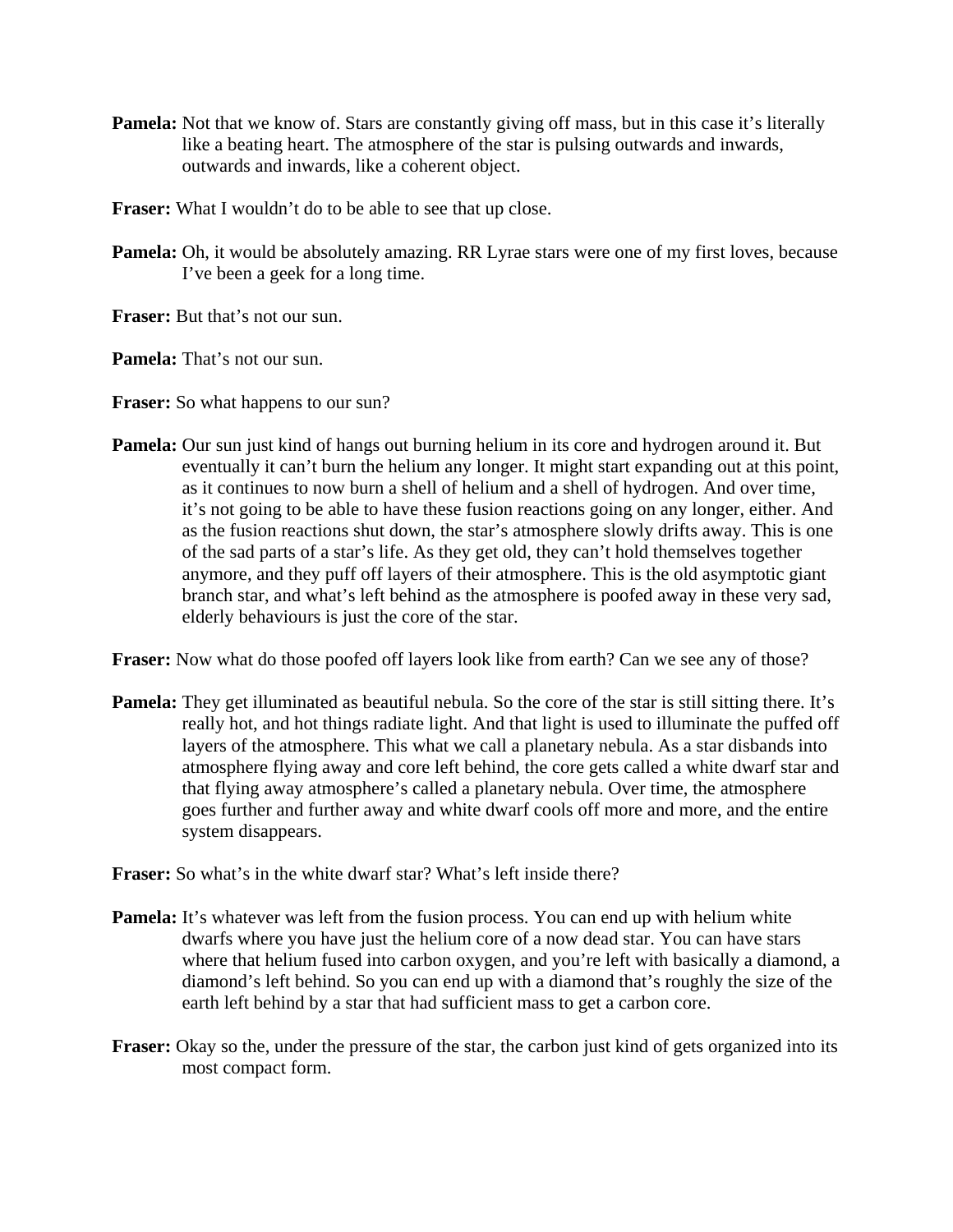- **Pamela:** Not that we know of. Stars are constantly giving off mass, but in this case it's literally like a beating heart. The atmosphere of the star is pulsing outwards and inwards, outwards and inwards, like a coherent object.
- **Fraser:** What I wouldn't do to be able to see that up close.
- **Pamela:** Oh, it would be absolutely amazing. RR Lyrae stars were one of my first loves, because I've been a geek for a long time.

**Fraser:** But that's not our sun.

**Pamela:** That's not our sun.

**Fraser:** So what happens to our sun?

**Pamela:** Our sun just kind of hangs out burning helium in its core and hydrogen around it. But eventually it can't burn the helium any longer. It might start expanding out at this point, as it continues to now burn a shell of helium and a shell of hydrogen. And over time, it's not going to be able to have these fusion reactions going on any longer, either. And as the fusion reactions shut down, the star's atmosphere slowly drifts away. This is one of the sad parts of a star's life. As they get old, they can't hold themselves together anymore, and they puff off layers of their atmosphere. This is the old asymptotic giant branch star, and what's left behind as the atmosphere is poofed away in these very sad, elderly behaviours is just the core of the star.

**Fraser:** Now what do those poofed off layers look like from earth? Can we see any of those?

**Pamela:** They get illuminated as beautiful nebula. So the core of the star is still sitting there. It's really hot, and hot things radiate light. And that light is used to illuminate the puffed off layers of the atmosphere. This what we call a planetary nebula. As a star disbands into atmosphere flying away and core left behind, the core gets called a white dwarf star and that flying away atmosphere's called a planetary nebula. Over time, the atmosphere goes further and further away and white dwarf cools off more and more, and the entire system disappears.

**Fraser:** So what's in the white dwarf star? What's left inside there?

- **Pamela:** It's whatever was left from the fusion process. You can end up with helium white dwarfs where you have just the helium core of a now dead star. You can have stars where that helium fused into carbon oxygen, and you're left with basically a diamond, a diamond's left behind. So you can end up with a diamond that's roughly the size of the earth left behind by a star that had sufficient mass to get a carbon core.
- **Fraser:** Okay so the, under the pressure of the star, the carbon just kind of gets organized into its most compact form.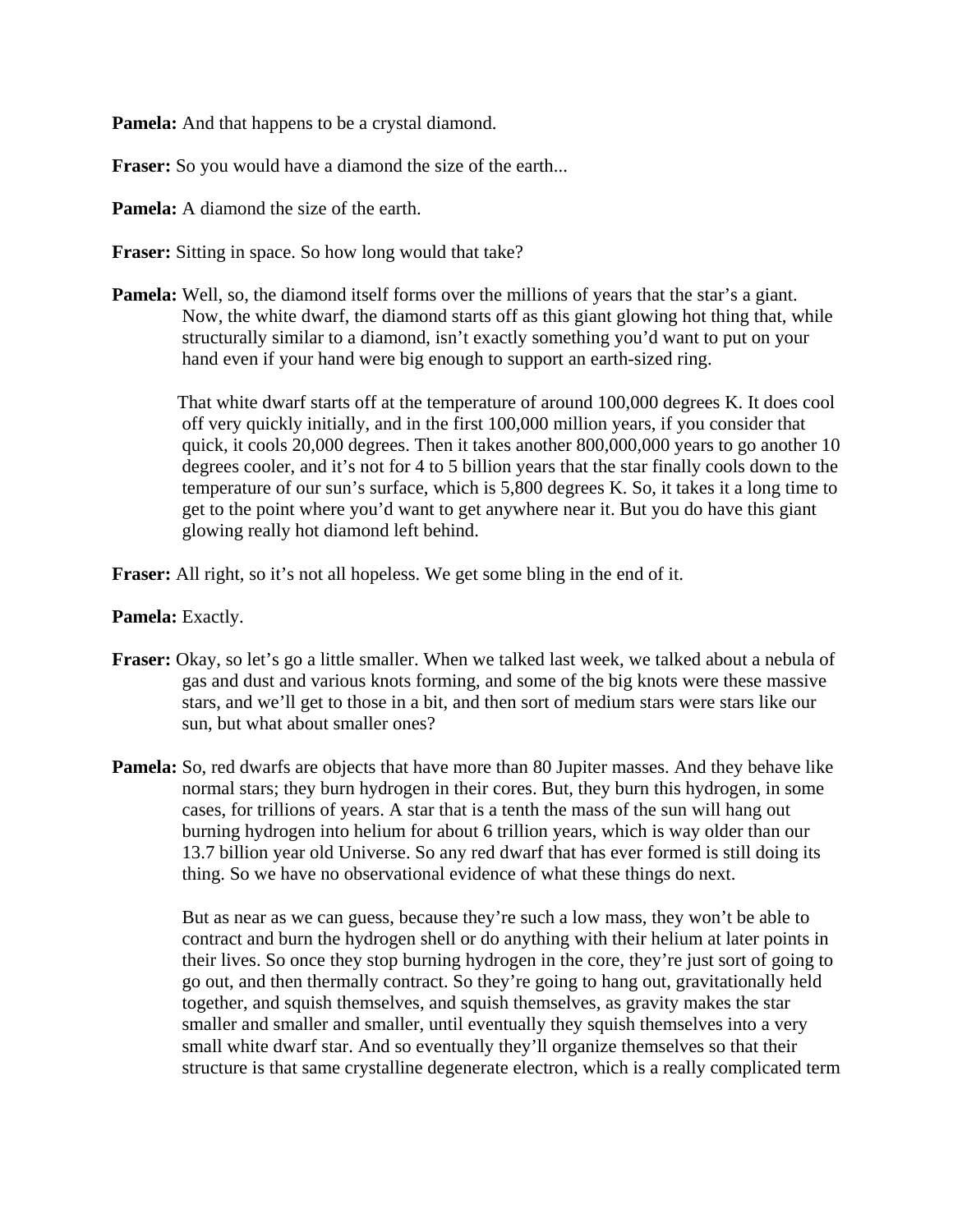**Pamela:** And that happens to be a crystal diamond.

**Fraser:** So you would have a diamond the size of the earth...

**Pamela:** A diamond the size of the earth.

**Fraser:** Sitting in space. So how long would that take?

**Pamela:** Well, so, the diamond itself forms over the millions of years that the star's a giant. Now, the white dwarf, the diamond starts off as this giant glowing hot thing that, while structurally similar to a diamond, isn't exactly something you'd want to put on your hand even if your hand were big enough to support an earth-sized ring.

 That white dwarf starts off at the temperature of around 100,000 degrees K. It does cool off very quickly initially, and in the first 100,000 million years, if you consider that quick, it cools 20,000 degrees. Then it takes another 800,000,000 years to go another 10 degrees cooler, and it's not for 4 to 5 billion years that the star finally cools down to the temperature of our sun's surface, which is 5,800 degrees K. So, it takes it a long time to get to the point where you'd want to get anywhere near it. But you do have this giant glowing really hot diamond left behind.

**Fraser:** All right, so it's not all hopeless. We get some bling in the end of it.

## **Pamela:** Exactly.

- **Fraser:** Okay, so let's go a little smaller. When we talked last week, we talked about a nebula of gas and dust and various knots forming, and some of the big knots were these massive stars, and we'll get to those in a bit, and then sort of medium stars were stars like our sun, but what about smaller ones?
- **Pamela:** So, red dwarfs are objects that have more than 80 Jupiter masses. And they behave like normal stars; they burn hydrogen in their cores. But, they burn this hydrogen, in some cases, for trillions of years. A star that is a tenth the mass of the sun will hang out burning hydrogen into helium for about 6 trillion years, which is way older than our 13.7 billion year old Universe. So any red dwarf that has ever formed is still doing its thing. So we have no observational evidence of what these things do next.

 But as near as we can guess, because they're such a low mass, they won't be able to contract and burn the hydrogen shell or do anything with their helium at later points in their lives. So once they stop burning hydrogen in the core, they're just sort of going to go out, and then thermally contract. So they're going to hang out, gravitationally held together, and squish themselves, and squish themselves, as gravity makes the star smaller and smaller and smaller, until eventually they squish themselves into a very small white dwarf star. And so eventually they'll organize themselves so that their structure is that same crystalline degenerate electron, which is a really complicated term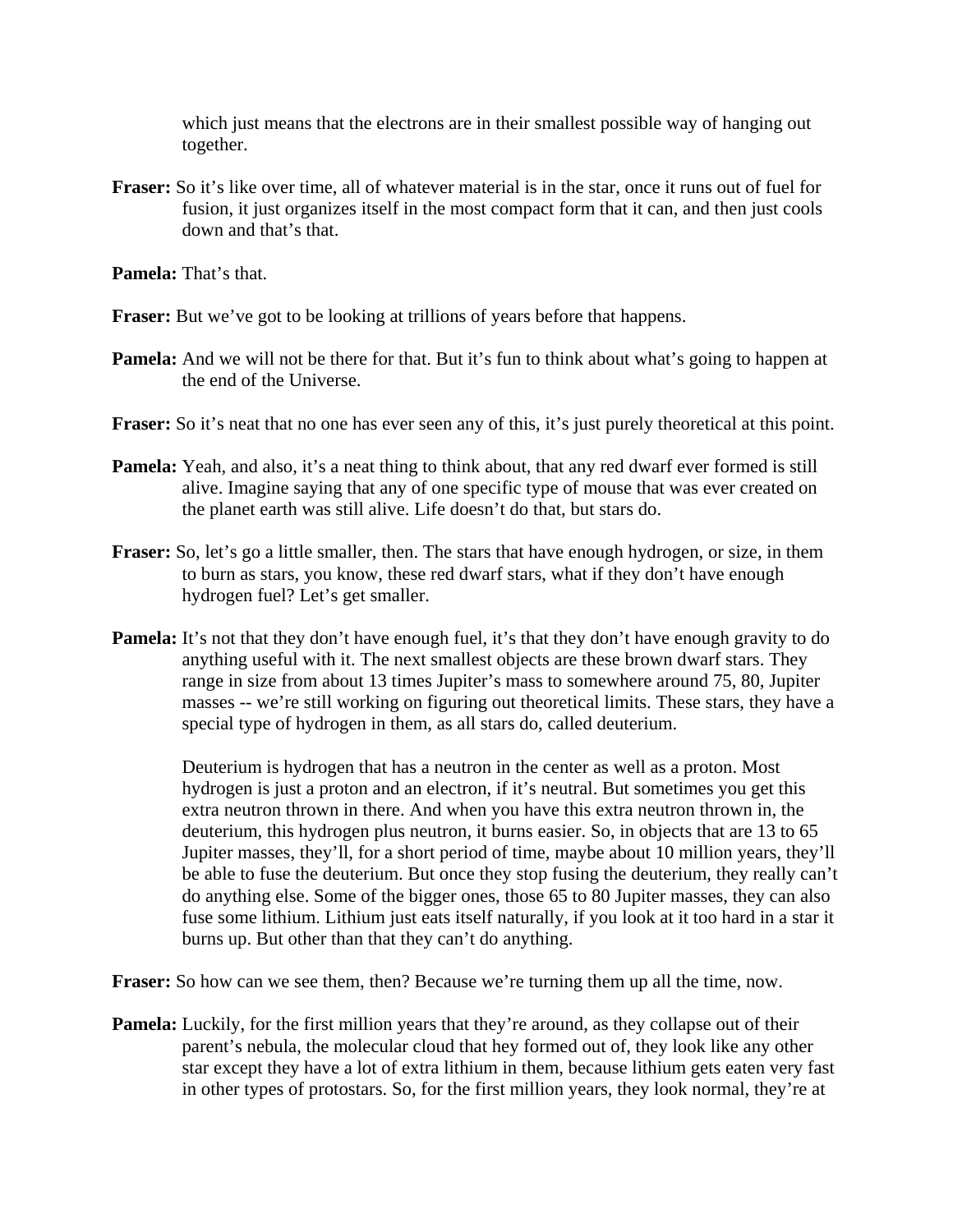which just means that the electrons are in their smallest possible way of hanging out together.

**Fraser:** So it's like over time, all of whatever material is in the star, once it runs out of fuel for fusion, it just organizes itself in the most compact form that it can, and then just cools down and that's that.

**Pamela:** That's that.

**Fraser:** But we've got to be looking at trillions of years before that happens.

- **Pamela:** And we will not be there for that. But it's fun to think about what's going to happen at the end of the Universe.
- **Fraser:** So it's neat that no one has ever seen any of this, it's just purely theoretical at this point.
- **Pamela:** Yeah, and also, it's a neat thing to think about, that any red dwarf ever formed is still alive. Imagine saying that any of one specific type of mouse that was ever created on the planet earth was still alive. Life doesn't do that, but stars do.
- **Fraser:** So, let's go a little smaller, then. The stars that have enough hydrogen, or size, in them to burn as stars, you know, these red dwarf stars, what if they don't have enough hydrogen fuel? Let's get smaller.
- **Pamela:** It's not that they don't have enough fuel, it's that they don't have enough gravity to do anything useful with it. The next smallest objects are these brown dwarf stars. They range in size from about 13 times Jupiter's mass to somewhere around 75, 80, Jupiter masses -- we're still working on figuring out theoretical limits. These stars, they have a special type of hydrogen in them, as all stars do, called deuterium.

Deuterium is hydrogen that has a neutron in the center as well as a proton. Most hydrogen is just a proton and an electron, if it's neutral. But sometimes you get this extra neutron thrown in there. And when you have this extra neutron thrown in, the deuterium, this hydrogen plus neutron, it burns easier. So, in objects that are 13 to 65 Jupiter masses, they'll, for a short period of time, maybe about 10 million years, they'll be able to fuse the deuterium. But once they stop fusing the deuterium, they really can't do anything else. Some of the bigger ones, those 65 to 80 Jupiter masses, they can also fuse some lithium. Lithium just eats itself naturally, if you look at it too hard in a star it burns up. But other than that they can't do anything.

**Fraser:** So how can we see them, then? Because we're turning them up all the time, now.

**Pamela:** Luckily, for the first million years that they're around, as they collapse out of their parent's nebula, the molecular cloud that hey formed out of, they look like any other star except they have a lot of extra lithium in them, because lithium gets eaten very fast in other types of protostars. So, for the first million years, they look normal, they're at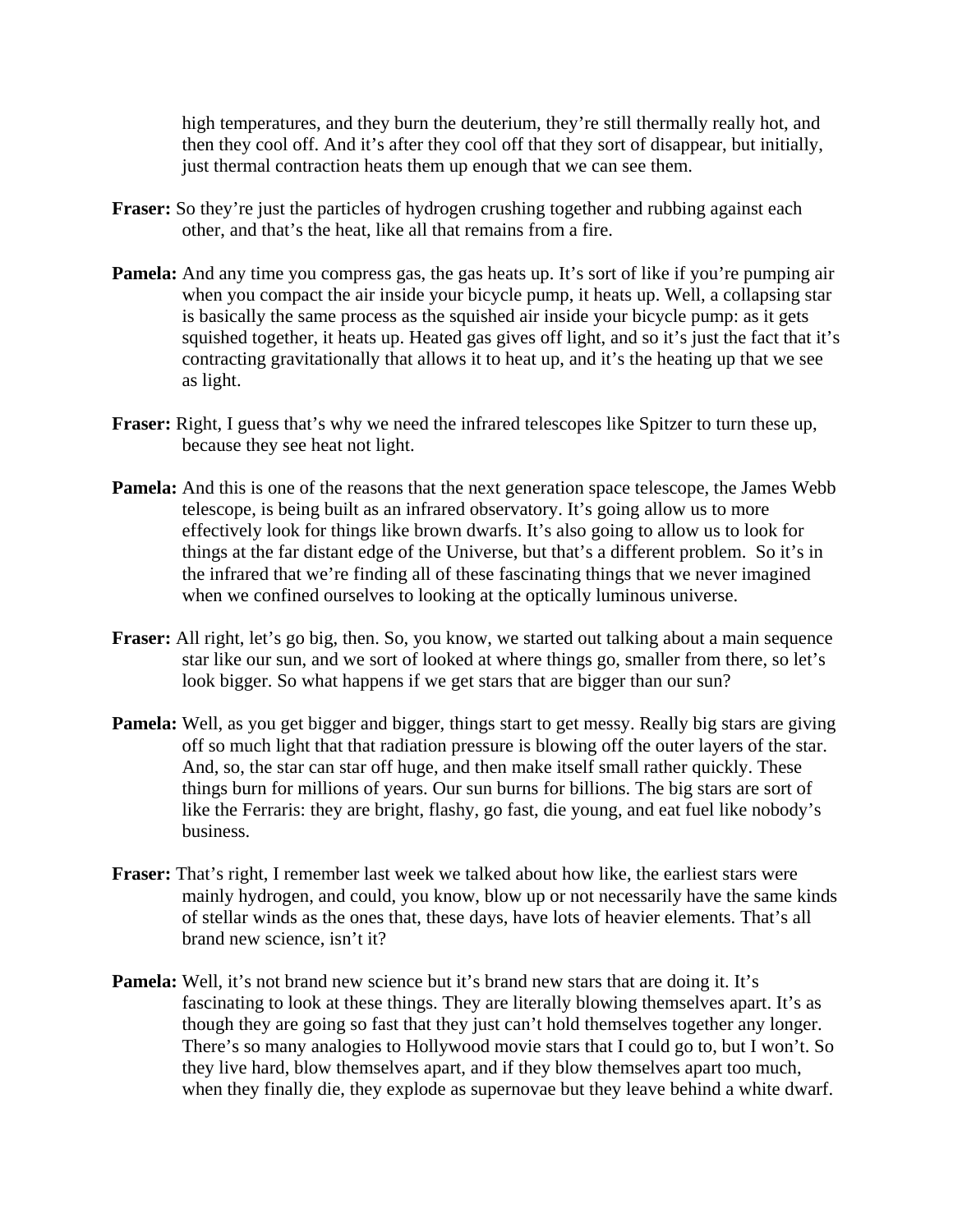high temperatures, and they burn the deuterium, they're still thermally really hot, and then they cool off. And it's after they cool off that they sort of disappear, but initially, just thermal contraction heats them up enough that we can see them.

- **Fraser:** So they're just the particles of hydrogen crushing together and rubbing against each other, and that's the heat, like all that remains from a fire.
- **Pamela:** And any time you compress gas, the gas heats up. It's sort of like if you're pumping air when you compact the air inside your bicycle pump, it heats up. Well, a collapsing star is basically the same process as the squished air inside your bicycle pump: as it gets squished together, it heats up. Heated gas gives off light, and so it's just the fact that it's contracting gravitationally that allows it to heat up, and it's the heating up that we see as light.
- **Fraser:** Right, I guess that's why we need the infrared telescopes like Spitzer to turn these up, because they see heat not light.
- **Pamela:** And this is one of the reasons that the next generation space telescope, the James Webb telescope, is being built as an infrared observatory. It's going allow us to more effectively look for things like brown dwarfs. It's also going to allow us to look for things at the far distant edge of the Universe, but that's a different problem. So it's in the infrared that we're finding all of these fascinating things that we never imagined when we confined ourselves to looking at the optically luminous universe.
- **Fraser:** All right, let's go big, then. So, you know, we started out talking about a main sequence star like our sun, and we sort of looked at where things go, smaller from there, so let's look bigger. So what happens if we get stars that are bigger than our sun?
- **Pamela:** Well, as you get bigger and bigger, things start to get messy. Really big stars are giving off so much light that that radiation pressure is blowing off the outer layers of the star. And, so, the star can star off huge, and then make itself small rather quickly. These things burn for millions of years. Our sun burns for billions. The big stars are sort of like the Ferraris: they are bright, flashy, go fast, die young, and eat fuel like nobody's business.
- **Fraser:** That's right, I remember last week we talked about how like, the earliest stars were mainly hydrogen, and could, you know, blow up or not necessarily have the same kinds of stellar winds as the ones that, these days, have lots of heavier elements. That's all brand new science, isn't it?
- **Pamela:** Well, it's not brand new science but it's brand new stars that are doing it. It's fascinating to look at these things. They are literally blowing themselves apart. It's as though they are going so fast that they just can't hold themselves together any longer. There's so many analogies to Hollywood movie stars that I could go to, but I won't. So they live hard, blow themselves apart, and if they blow themselves apart too much, when they finally die, they explode as supernovae but they leave behind a white dwarf.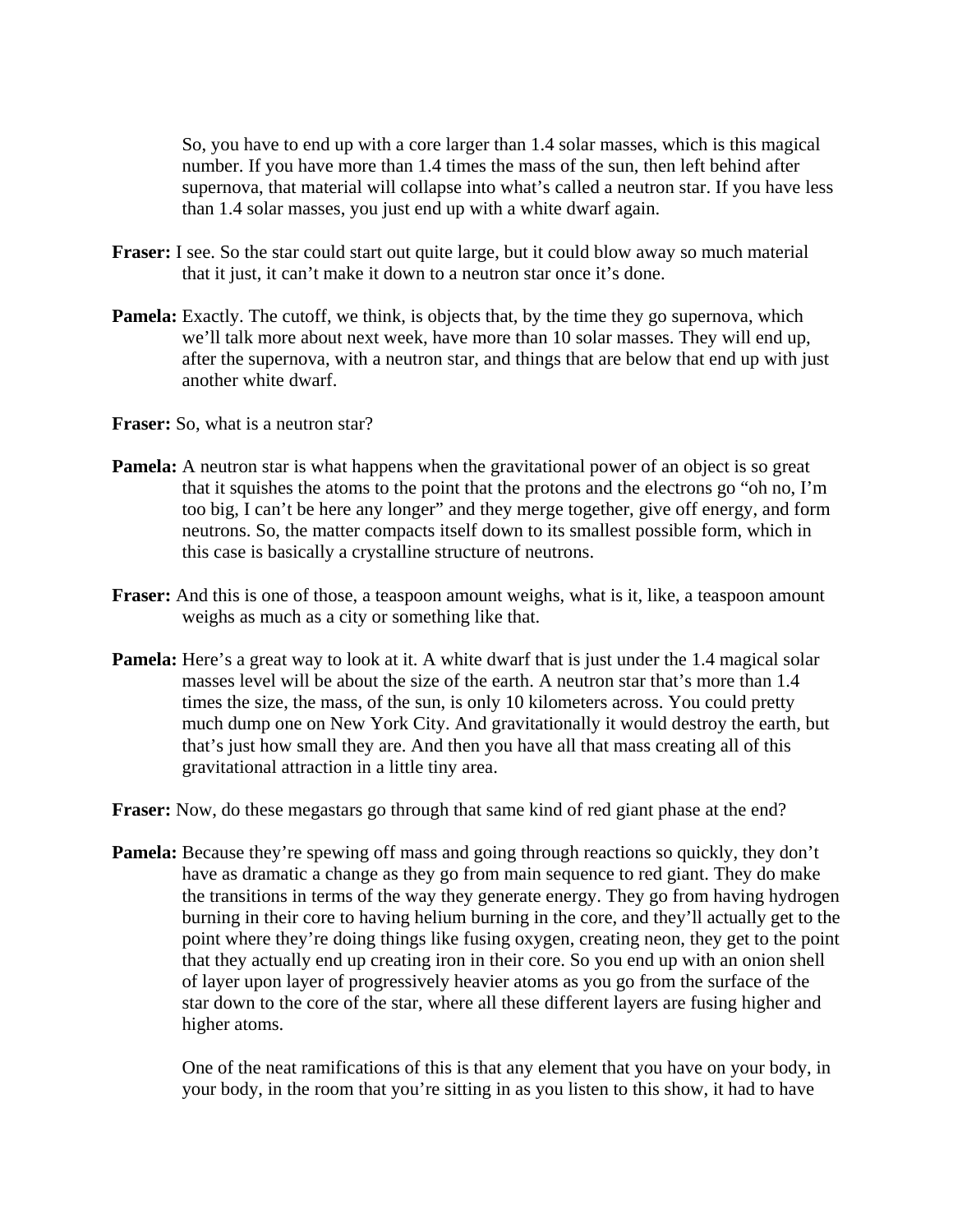So, you have to end up with a core larger than 1.4 solar masses, which is this magical number. If you have more than 1.4 times the mass of the sun, then left behind after supernova, that material will collapse into what's called a neutron star. If you have less than 1.4 solar masses, you just end up with a white dwarf again.

- **Fraser:** I see. So the star could start out quite large, but it could blow away so much material that it just, it can't make it down to a neutron star once it's done.
- **Pamela:** Exactly. The cutoff, we think, is objects that, by the time they go supernova, which we'll talk more about next week, have more than 10 solar masses. They will end up, after the supernova, with a neutron star, and things that are below that end up with just another white dwarf.
- **Fraser:** So, what is a neutron star?
- **Pamela:** A neutron star is what happens when the gravitational power of an object is so great that it squishes the atoms to the point that the protons and the electrons go "oh no, I'm too big, I can't be here any longer" and they merge together, give off energy, and form neutrons. So, the matter compacts itself down to its smallest possible form, which in this case is basically a crystalline structure of neutrons.
- **Fraser:** And this is one of those, a teaspoon amount weighs, what is it, like, a teaspoon amount weighs as much as a city or something like that.
- **Pamela:** Here's a great way to look at it. A white dwarf that is just under the 1.4 magical solar masses level will be about the size of the earth. A neutron star that's more than 1.4 times the size, the mass, of the sun, is only 10 kilometers across. You could pretty much dump one on New York City. And gravitationally it would destroy the earth, but that's just how small they are. And then you have all that mass creating all of this gravitational attraction in a little tiny area.

**Fraser:** Now, do these megastars go through that same kind of red giant phase at the end?

**Pamela:** Because they're spewing off mass and going through reactions so quickly, they don't have as dramatic a change as they go from main sequence to red giant. They do make the transitions in terms of the way they generate energy. They go from having hydrogen burning in their core to having helium burning in the core, and they'll actually get to the point where they're doing things like fusing oxygen, creating neon, they get to the point that they actually end up creating iron in their core. So you end up with an onion shell of layer upon layer of progressively heavier atoms as you go from the surface of the star down to the core of the star, where all these different layers are fusing higher and higher atoms.

 One of the neat ramifications of this is that any element that you have on your body, in your body, in the room that you're sitting in as you listen to this show, it had to have